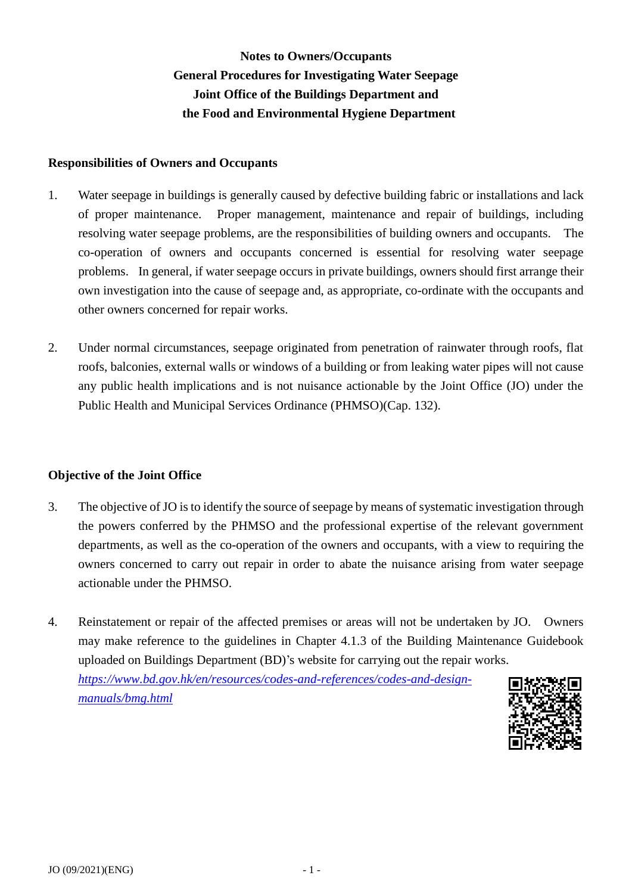# **Notes to Owners/Occupants General Procedures for Investigating Water Seepage Joint Office of the Buildings Department and the Food and Environmental Hygiene Department**

#### **Responsibilities of Owners and Occupants**

- 1. Water seepage in buildings is generally caused by defective building fabric or installations and lack of proper maintenance. resolving water seepage problems, are the responsibilities of building owners and occupants. The co-operation of owners and occupants concerned is essential for resolving water seepage problems. In general, if water seepage occurs in private buildings, owners should first arrange their own investigation into the cause of seepage and, as appropriate, co-ordinate with the occupants and other owners concerned for repair works. Proper management, maintenance and repair of buildings, including
- roofs, balconies, external walls or windows of a building or from leaking water pipes will not cause any public health implications and is not nuisance actionable by the Joint Office (JO) under the 2. Under normal circumstances, seepage originated from penetration of rainwater through roofs, flat Public Health and Municipal Services Ordinance (PHMSO)(Cap. 132).

#### **Objective of the Joint Office**

- 3. The objective of JO is to identify the source of seepage by means of systematic investigation through the powers conferred by the PHMSO and the professional expertise of the relevant government departments, as well as the co-operation of the owners and occupants, with a view to requiring the owners concerned to carry out repair in order to abate the nuisance arising from water seepage actionable under the PHMSO.
- 4. Reinstatement or repair of the affected premises or areas will not be undertaken by JO. Owners may make reference to the guidelines in Chapter 4.1.3 of the Building Maintenance Guidebook uploaded on Buildings Department (BD)'s website for carrying out the repair works. *[https://www.bd.gov.hk/en/resources/codes-and-references/codes-and-design](https://www.bd.gov.hk/en/resources/codes-and-references/codes-and-design-manuals/bmg.html)[manuals/bmg.html](https://www.bd.gov.hk/en/resources/codes-and-references/codes-and-design-manuals/bmg.html)*

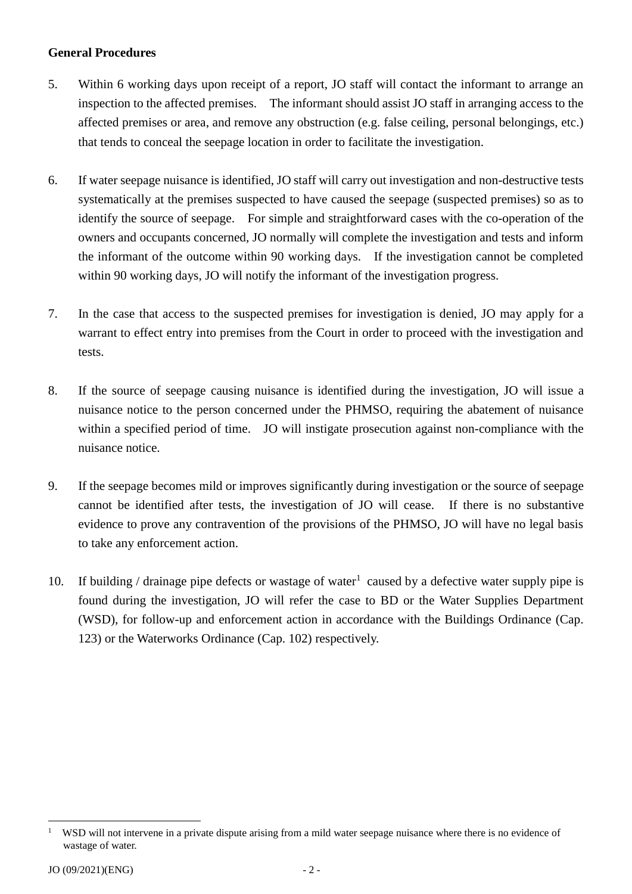#### **General Procedures**

- 5. Within 6 working days upon receipt of a report, JO staff will contact the informant to arrange an inspection to the affected premises. The informant should assist JO staff in arranging access to the that tends to conceal the seepage location in order to facilitate the investigation. affected premises or area, and remove any obstruction (e.g. false ceiling, personal belongings, etc.)
- 6. If water seepage nuisance is identified, JO staff will carry out investigation and non-destructive tests identify the source of seepage. For simple and straightforward cases with the co-operation of the owners and occupants concerned, JO normally will complete the investigation and tests and inform the informant of the outcome within 90 working days. If the investigation cannot be completed systematically at the premises suspected to have caused the seepage (suspected premises) so as to within 90 working days, JO will notify the informant of the investigation progress.
- 7. In the case that access to the suspected premises for investigation is denied, JO may apply for a warrant to effect entry into premises from the Court in order to proceed with the investigation and tests.
- 8. If the source of seepage causing nuisance is identified during the investigation, JO will issue a nuisance notice to the person concerned under the PHMSO, requiring the abatement of nuisance within a specified period of time. JO will instigate prosecution against non-compliance with the nuisance notice.
- 9. If the seepage becomes mild or improves significantly during investigation or the source of seepage cannot be identified after tests, the investigation of JO will cease. If there is no substantive evidence to prove any contravention of the provisions of the PHMSO, JO will have no legal basis to take any enforcement action.
- 10. If building / drainage pipe defects or wastage of water<sup>1</sup> caused by a defective water supply pipe is found during the investigation, JO will refer the case to BD or the Water Supplies Department (WSD), for follow-up and enforcement action in accordance with the Buildings Ordinance (Cap. 123) or the Waterworks Ordinance (Cap. 102) respectively.

<u>.</u>

 1 wastage of water. WSD will not intervene in a private dispute arising from a mild water seepage nuisance where there is no evidence of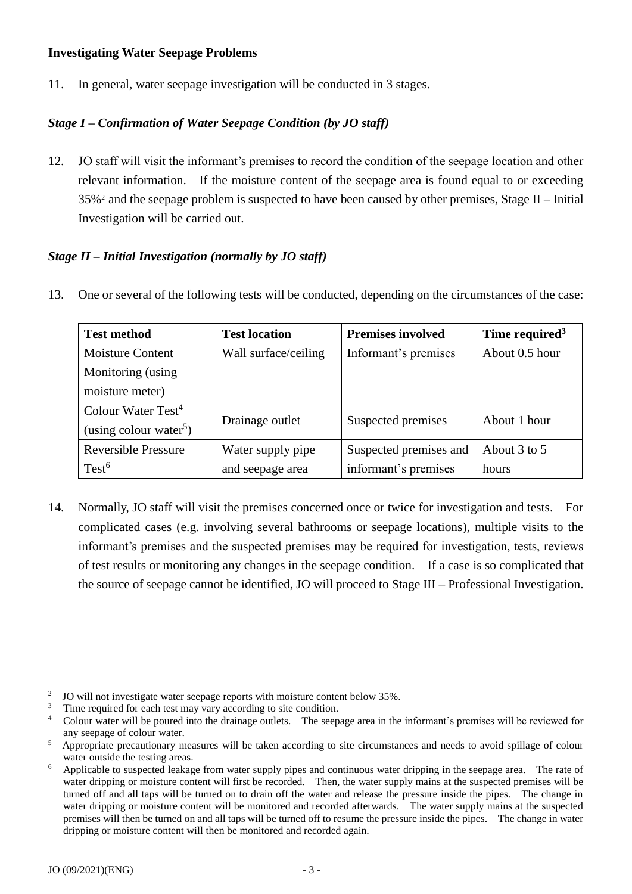#### **Investigating Water Seepage Problems**

11. In general, water seepage investigation will be conducted in 3 stages.

## *Stage I – Confirmation of Water Seepage Condition (by JO staff)*

 12. JO staff will visit the informant's premises to record the condition of the seepage location and other relevant information. If the moisture content of the seepage area is found equal to or exceeding  $35\%$ <sup>2</sup> and the seepage problem is suspected to have been caused by other premises, Stage II – Initial Investigation will be carried out.

### *Stage II – Initial Investigation (normally by JO staff)*

13. One or several of the following tests will be conducted, depending on the circumstances of the case:

| <b>Test method</b>                 | <b>Test location</b> | <b>Premises involved</b> | Time required <sup>3</sup> |
|------------------------------------|----------------------|--------------------------|----------------------------|
| <b>Moisture Content</b>            | Wall surface/ceiling | Informant's premises     | About 0.5 hour             |
| Monitoring (using                  |                      |                          |                            |
| moisture meter)                    |                      |                          |                            |
| Colour Water Test <sup>4</sup>     | Drainage outlet      | Suspected premises       | About 1 hour               |
| (using colour water <sup>5</sup> ) |                      |                          |                            |
| <b>Reversible Pressure</b>         | Water supply pipe    | Suspected premises and   | About 3 to 5               |
| Test <sup>6</sup>                  | and seepage area     | informant's premises     | hours                      |

 14. Normally, JO staff will visit the premises concerned once or twice for investigation and tests. For complicated cases (e.g. involving several bathrooms or seepage locations), multiple visits to the informant's premises and the suspected premises may be required for investigation, tests, reviews of test results or monitoring any changes in the seepage condition. If a case is so complicated that the source of seepage cannot be identified, JO will proceed to Stage III – Professional Investigation.

<sup>&</sup>lt;u>.</u>  $\overline{2}$ 

 $\overline{3}$ 

 $\overline{4}$ any seepage of colour water. JO will not investigate water seepage reports with moisture content below 35%.<br>Time required for each test may vary according to site condition.<br>Colour water will be poured into the drainage outlets. The seepage area in th

 $\overline{5}$ water outside the testing areas. Appropriate precautionary measures will be taken according to site circumstances and needs to avoid spillage of colour

 $\epsilon$  water dripping or moisture content will first be recorded. Then, the water supply mains at the suspected premises will be turned off and all taps will be turned on to drain off the water and release the pressure inside the pipes. The change in water dripping or moisture content will be monitored and recorded afterwards. The water supply mains at the suspected premises will then be turned on and all taps will be turned off to resume the pressure inside the pipes. The change in water dripping or moisture content will then be monitored and recorded again. Applicable to suspected leakage from water supply pipes and continuous water dripping in the seepage area. The rate of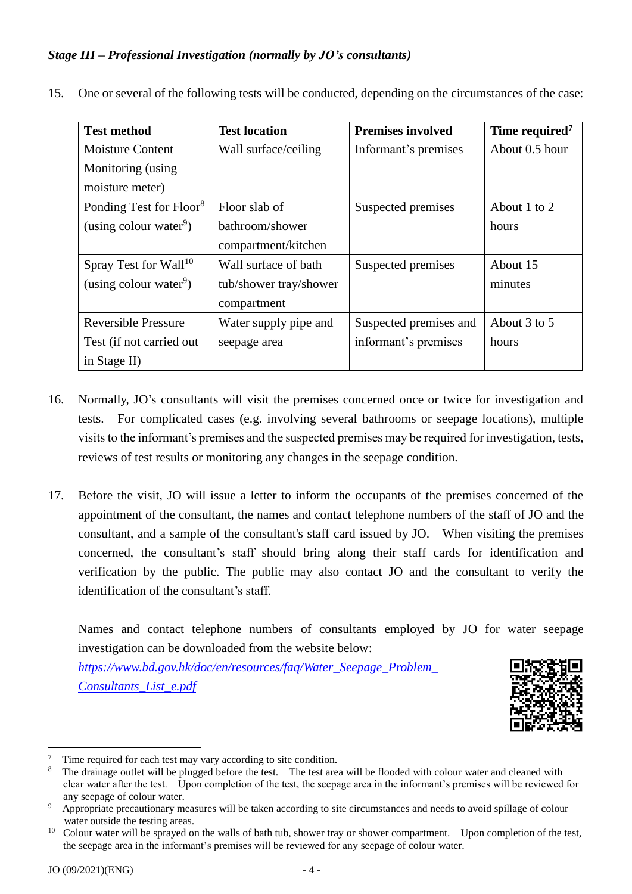## *Stage III – Professional Investigation (normally by JO's consultants)*

15. One or several of the following tests will be conducted, depending on the circumstances of the case:

| <b>Test method</b>                  | <b>Test location</b>   | <b>Premises involved</b> | Time required <sup>7</sup> |
|-------------------------------------|------------------------|--------------------------|----------------------------|
| <b>Moisture Content</b>             | Wall surface/ceiling   | Informant's premises     | About 0.5 hour             |
| Monitoring (using                   |                        |                          |                            |
| moisture meter)                     |                        |                          |                            |
| Ponding Test for Floor <sup>8</sup> | Floor slab of          | Suspected premises       | About 1 to 2               |
| (using colour water <sup>9</sup> )  | bathroom/shower        |                          | hours                      |
|                                     | compartment/kitchen    |                          |                            |
| Spray Test for Wall <sup>10</sup>   | Wall surface of bath   | Suspected premises       | About 15                   |
| (using colour water <sup>9</sup> )  | tub/shower tray/shower |                          | minutes                    |
|                                     | compartment            |                          |                            |
| <b>Reversible Pressure</b>          | Water supply pipe and  | Suspected premises and   | About 3 to 5               |
| Test (if not carried out            | seepage area           | informant's premises     | hours                      |
| in Stage II)                        |                        |                          |                            |

- 16. Normally, JO's consultants will visit the premises concerned once or twice for investigation and visits to the informant's premises and the suspected premises may be required for investigation, tests, tests. For complicated cases (e.g. involving several bathrooms or seepage locations), multiple reviews of test results or monitoring any changes in the seepage condition.
- 17. Before the visit, JO will issue a letter to inform the occupants of the premises concerned of the appointment of the consultant, the names and contact telephone numbers of the staff of JO and the consultant, and a sample of the consultant's staff card issued by JO. When visiting the premises concerned, the consultant's staff should bring along their staff cards for identification and verification by the public. The public may also contact JO and the consultant to verify the identification of the consultant's staff.

 Names and contact telephone numbers of consultants employed by JO for water seepage investigation can be downloaded from the website below:

*[https://www.bd.gov.hk/doc/en/resources/faq/Water\\_Seepage\\_Problem\\_](https://www.bd.gov.hk/doc/en/resources/faq/Water_Seepage_Problem_Consultants_List_e.pdf)  [Consultants\\_List\\_e.pdf](https://www.bd.gov.hk/doc/en/resources/faq/Water_Seepage_Problem_Consultants_List_e.pdf)* 



<u>.</u>

 $\overline{7}$ 

 $\mathbf{8}$  clear water after the test. Upon completion of the test, the seepage area in the informant's premises will be reviewed for any seepage of colour water. Time required for each test may vary according to site condition.<br>The drainage outlet will be plugged before the test. The test area will be flooded with colour water and cleaned with

 $\overline{9}$ water outside the testing areas. Appropriate precautionary measures will be taken according to site circumstances and needs to avoid spillage of colour

 $10<sup>-10</sup>$  the seepage area in the informant's premises will be reviewed for any seepage of colour water. Colour water will be sprayed on the walls of bath tub, shower tray or shower compartment. Upon completion of the test,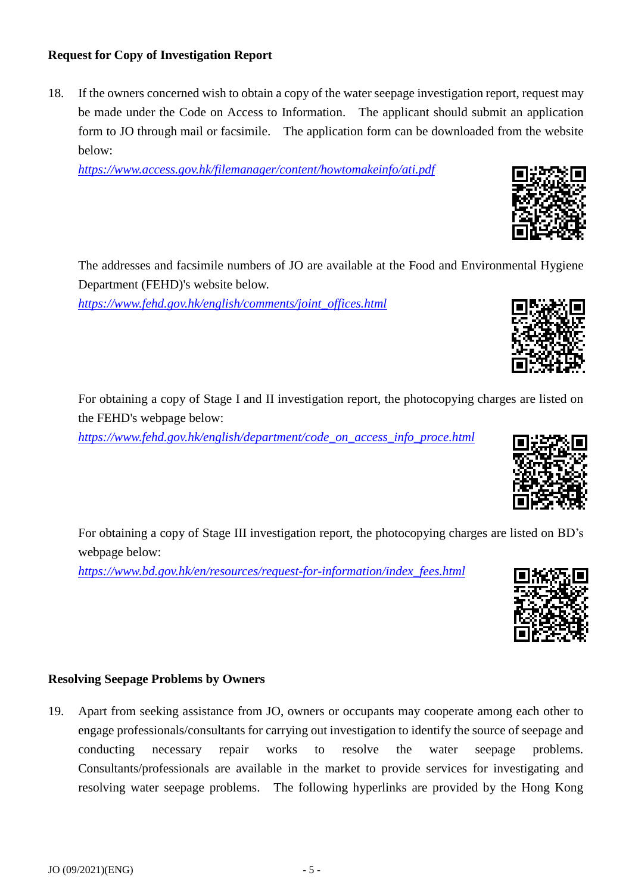# **Request for Copy of Investigation Report**

 18. If the owners concerned wish to obtain a copy of the water seepage investigation report, request may be made under the Code on Access to Information. The applicant should submit an application form to JO through mail or facsimile. The application form can be downloaded from the website below:

*<https://www.access.gov.hk/filemanager/content/howtomakeinfo/ati.pdf>*

 The addresses and facsimile numbers of JO are available at the Food and Environmental Hygiene Department (FEHD)'s website below.

*[https://www.fehd.gov.hk/english/comments/joint\\_offices.html](https://www.fehd.gov.hk/english/comments/joint_offices.html)* 

 For obtaining a copy of Stage I and II investigation report, the photocopying charges are listed on the FEHD's webpage below:

For obtaining a copy of Stage III investigation report, the photocopying charges are listed on BD's

*[https://www.fehd.gov.hk/english/department/code\\_on\\_access\\_info\\_proce.html](https://www.fehd.gov.hk/english/department/code_on_access_info_proce.html)* 

*[https://www.bd.gov.hk/en/resources/request-for-information/index\\_fees.html](https://www.bd.gov.hk/en/resources/request-for-information/index_fees.html)* 

# **Resolving Seepage Problems by Owners**

webpage below:

 19. Apart from seeking assistance from JO, owners or occupants may cooperate among each other to engage professionals/consultants for carrying out investigation to identify the source of seepage and problems. conducting necessary repair works to resolve the water seepage problems. Consultants/professionals are available in the market to provide services for investigating and resolving water seepage problems. The following hyperlinks are provided by the Hong Kong





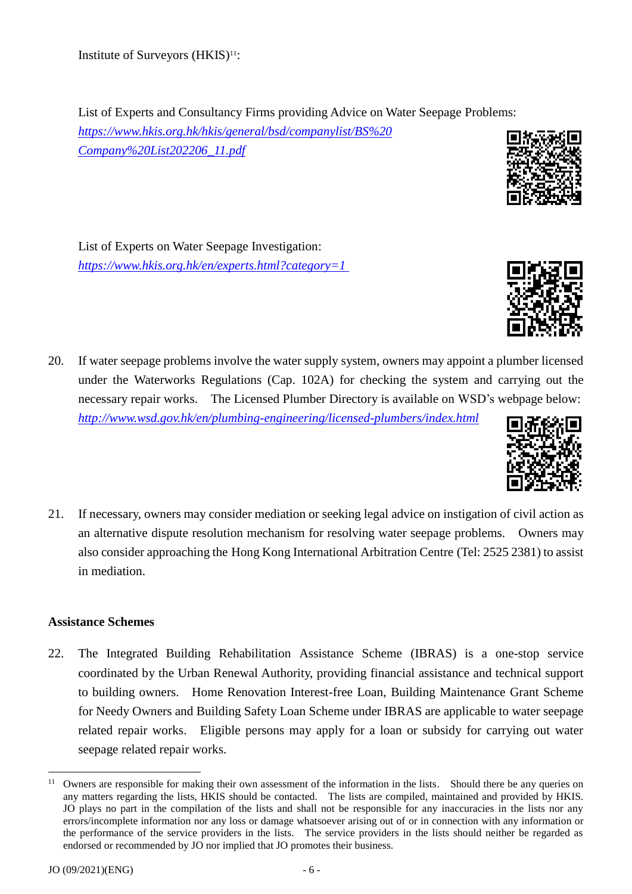List of Experts and Consultancy Firms providing Advice on Water Seepage Problems:

*[https://www.hkis.org.hk/hkis/general/bsd/companylist/BS%20](https://www.hkis.org.hk/hkis/general/bsd/companylist/BS%20Company%20List202206_11.pdf)  [Company%20List202206\\_11.pdf](https://www.hkis.org.hk/hkis/general/bsd/companylist/BS%20Company%20List202206_11.pdf)* 

 [List of Experts on Water Seepage Investigation:](http://www.hkis.org.hk/bsd/en/about_bsd_list_of_experts2.php) *<https://www.hkis.org.hk/en/experts.html?category=1>*

- 20. If water seepage problems involve the water supply system, owners may appoint a plumber licensed under the Waterworks Regulations (Cap. 102A) for checking the system and carrying out the necessary repair works. The Licensed Plumber Directory is available on WSD's webpage below: *<http://www.wsd.gov.hk/en/plumbing-engineering/licensed-plumbers/index.html>*
- 21. If necessary, owners may consider mediation or seeking legal advice on instigation of civil action as an alternative dispute resolution mechanism for resolving water seepage problems. Owners may also consider approaching the [Hong Kong International Arbitration Centre](http://hkiac.org/) (Tel: 2525 2381) to assist in mediation.

# **Assistance Schemes**

 22. The Integrated Building Rehabilitation Assistance Scheme (IBRAS) is a one-stop service to building owners. Home Renovation Interest-free Loan, Building Maintenance Grant Scheme for Needy Owners and Building Safety Loan Scheme under IBRAS are applicable to water seepage related repair works. Eligible persons may apply for a loan or subsidy for carrying out water coordinated by the Urban Renewal Authority, providing financial assistance and technical support seepage related repair works.



Institute of Surveyors (HKIS)<sup>11</sup>:

<sup>&</sup>lt;u>.</u> any matters regarding the lists, HKIS should be contacted. The lists are compiled, maintained and provided by HKIS. JO plays no part in the compilation of the lists and shall not be responsible for any inaccuracies in the lists nor any errors/incomplete information nor any loss or damage whatsoever arising out of or in connection with any information or the performance of the service providers in the lists. The service providers in the lists should neither be regarded as endorsed or recommended by JO nor implied that JO promotes their business. <sup>11</sup> Owners are responsible for making their own assessment of the information in the lists. Should there be any queries on